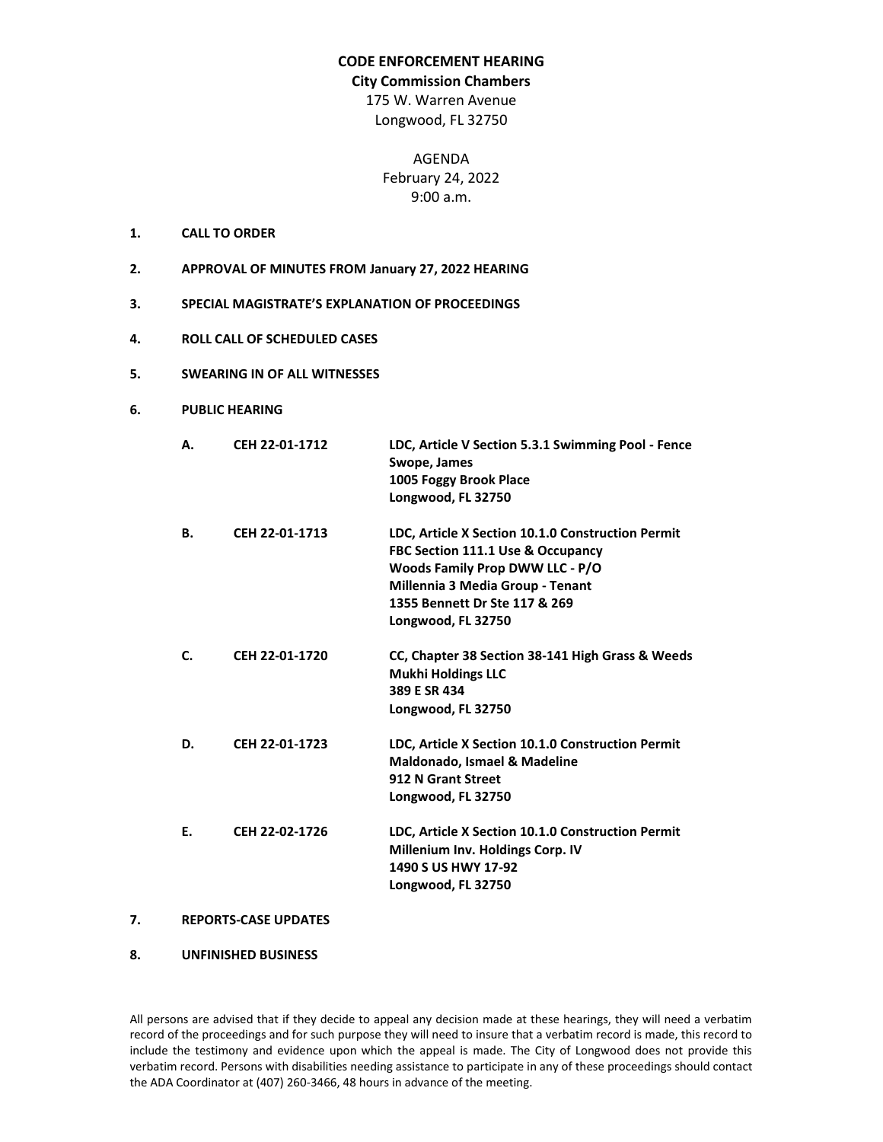## **CODE ENFORCEMENT HEARING**

#### **City Commission Chambers**

175 W. Warren Avenue Longwood, FL 32750

> AGENDA February 24, 2022 9:00 a.m.

- **1. CALL TO ORDER**
- **2. APPROVAL OF MINUTES FROM January 27, 2022 HEARING**
- **3. SPECIAL MAGISTRATE'S EXPLANATION OF PROCEEDINGS**
- **4. ROLL CALL OF SCHEDULED CASES**
- **5. SWEARING IN OF ALL WITNESSES**
- **6. PUBLIC HEARING**

| А. | CEH 22-01-1712 | LDC, Article V Section 5.3.1 Swimming Pool - Fence<br>Swope, James<br>1005 Foggy Brook Place<br>Longwood, FL 32750                                                                                                                     |
|----|----------------|----------------------------------------------------------------------------------------------------------------------------------------------------------------------------------------------------------------------------------------|
| В. | CEH 22-01-1713 | LDC, Article X Section 10.1.0 Construction Permit<br><b>FBC Section 111.1 Use &amp; Occupancy</b><br><b>Woods Family Prop DWW LLC - P/O</b><br>Millennia 3 Media Group - Tenant<br>1355 Bennett Dr Ste 117 & 269<br>Longwood, FL 32750 |
| C. | CEH 22-01-1720 | CC, Chapter 38 Section 38-141 High Grass & Weeds<br><b>Mukhi Holdings LLC</b><br>389 E SR 434<br>Longwood, FL 32750                                                                                                                    |
| D. | CEH 22-01-1723 | LDC, Article X Section 10.1.0 Construction Permit<br><b>Maldonado, Ismael &amp; Madeline</b><br>912 N Grant Street<br>Longwood, FL 32750                                                                                               |
| E. | CEH 22-02-1726 | LDC, Article X Section 10.1.0 Construction Permit<br>Millenium Inv. Holdings Corp. IV<br>1490 S US HWY 17-92<br>Longwood, FL 32750                                                                                                     |

# **7. REPORTS-CASE UPDATES**

### **8. UNFINISHED BUSINESS**

All persons are advised that if they decide to appeal any decision made at these hearings, they will need a verbatim record of the proceedings and for such purpose they will need to insure that a verbatim record is made, this record to include the testimony and evidence upon which the appeal is made. The City of Longwood does not provide this verbatim record. Persons with disabilities needing assistance to participate in any of these proceedings should contact the ADA Coordinator at (407) 260-3466, 48 hours in advance of the meeting.